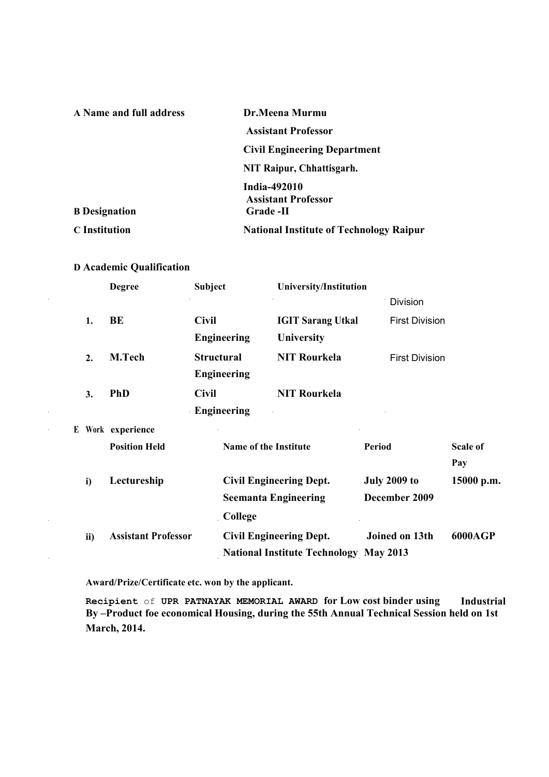| A Name and full address | Dr.Meena Murmu                                 |  |
|-------------------------|------------------------------------------------|--|
|                         | <b>Assistant Professor</b>                     |  |
|                         | <b>Civil Engineering Department</b>            |  |
|                         | NIT Raipur, Chhattisgarh.                      |  |
|                         | India-492010<br><b>Assistant Professor</b>     |  |
| <b>B</b> Designation    | <b>Grade -II</b>                               |  |
| <b>C</b> Institution    | <b>National Institute of Technology Raipur</b> |  |

# **D Academic Qualification**

 $\ddot{\phantom{a}}$ 

 $\bar{\mathcal{A}}$ 

J,

|     | <b>Degree</b>              | <b>Subject</b>    |                                                               | University/Institution                        |                       |                 |
|-----|----------------------------|-------------------|---------------------------------------------------------------|-----------------------------------------------|-----------------------|-----------------|
|     |                            |                   |                                                               |                                               | <b>Division</b>       |                 |
| 1.  | BE                         | <b>Civil</b>      |                                                               | <b>IGIT Sarang Utkal</b>                      | <b>First Division</b> |                 |
|     |                            |                   | <b>Engineering</b>                                            | University                                    |                       |                 |
| 2.  | M.Tech                     | <b>Structural</b> |                                                               | <b>NIT Rourkela</b>                           | <b>First Division</b> |                 |
|     |                            |                   | <b>Engineering</b>                                            |                                               |                       |                 |
| 3.  | <b>PhD</b>                 | <b>Civil</b>      |                                                               | <b>NIT Rourkela</b>                           |                       |                 |
|     |                            |                   | <b>Engineering</b>                                            |                                               |                       |                 |
|     | E Work experience          |                   |                                                               |                                               |                       |                 |
|     | <b>Position Held</b>       |                   | Name of the Institute                                         |                                               | Period                | <b>Scale of</b> |
|     |                            |                   |                                                               |                                               |                       | Pay             |
| i)  | Lectureship                |                   | <b>Civil Engineering Dept.</b><br><b>Seemanta Engineering</b> |                                               | <b>July 2009 to</b>   | 15000 p.m.      |
|     |                            |                   |                                                               |                                               | December 2009         |                 |
|     |                            |                   | College                                                       |                                               |                       |                 |
| ii) | <b>Assistant Professor</b> |                   |                                                               | <b>Civil Engineering Dept.</b>                | Joined on 13th        | 6000AGP         |
|     |                            |                   |                                                               | <b>National Institute Technology May 2013</b> |                       |                 |

**Award/Prize/Certificate etc. won by the applicant.**

**Recipient** of **UPR PATNAYAK MEMORIAL AWARD for Low cost binder using Industrial By –Product foe economical Housing, during the 55th Annual Technical Session held on 1st March, 2014.**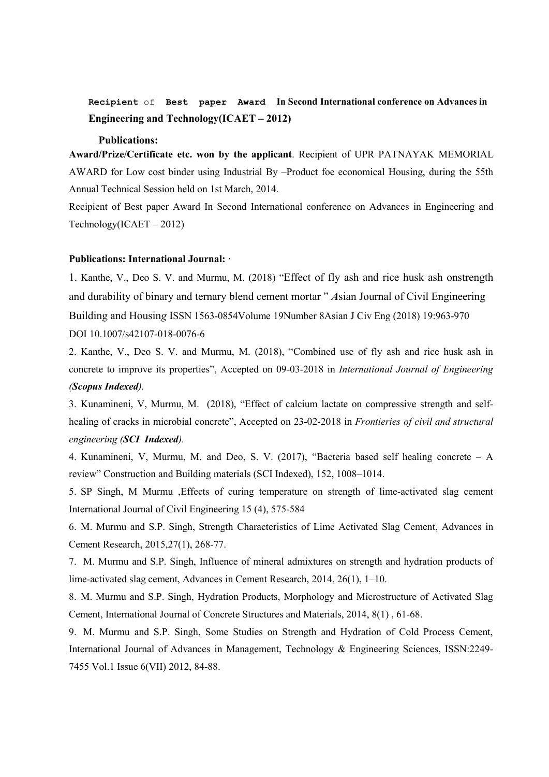**Recipient** of **Best paper Award In Second International conference on Advances in Engineering and Technology(ICAET – 2012)**

#### **Publications:**

**Award/Prize/Certificate etc. won by the applicant**. Recipient of UPR PATNAYAK MEMORIAL AWARD for Low cost binder using Industrial By –Product foe economical Housing, during the 55th Annual Technical Session held on 1st March, 2014.

Recipient of Best paper Award In Second International conference on Advances in Engineering and Technology(ICAET – 2012)

#### **Publications: International Journal: ·**

1. Kanthe, V., Deo S. V. and Murmu, M. (2018) "Effect of fly ash and rice husk ash onstrength and durability of binary and ternary blend cement mortar " *A*sian Journal of Civil Engineering Building and Housin*g* ISSN 1563-0854Volume 19Number 8Asian J Civ Eng (2018) 19:963-970 DOI 10.1007/s42107-018-0076-6

2. Kanthe, V., Deo S. V. and Murmu, M. (2018), "Combined use of fly ash and rice husk ash in concrete to improve its properties", Accepted on 09-03-2018 in *International Journal of Engineering (Scopus Indexed).*

3. Kunamineni, V, Murmu, M. (2018), "Effect of calcium lactate on compressive strength and selfhealing of cracks in microbial concrete", Accepted on 23-02-2018 in *Frontieries of civil and structural engineering (SCI Indexed).*

4. Kunamineni, V, Murmu, M. and Deo, S. V. (2017), "Bacteria based self healing concrete – A review" Construction and Building materials (SCI Indexed), 152, 1008–1014.

5. SP Singh, M Murmu ,Effects of curing temperature on strength of [lime-activated](https://scholar.google.com/javascript:void(0)) slag cement International Journal of Civil Engineering 15 (4), 575-584

6. M. Murmu and S.P. Singh, Strength Characteristics of Lime Activated Slag Cement, Advances in Cement Research, 2015,27(1), 268-77.

7. M. Murmu and S.P. Singh, Influence of mineral admixtures on strength and hydration products of lime-activated slag cement, Advances in Cement Research, 2014, 26(1), 1–10.

8. M. Murmu and S.P. Singh, Hydration Products, Morphology and Microstructure of Activated Slag Cement, International Journal of Concrete Structures and Materials, 2014, 8(1) , 61-68.

9. M. Murmu and S.P. Singh, Some Studies on Strength and Hydration of Cold Process Cement, International Journal of Advances in Management, Technology & Engineering Sciences, ISSN:2249- 7455 Vol.1 Issue 6(VII) 2012, 84-88.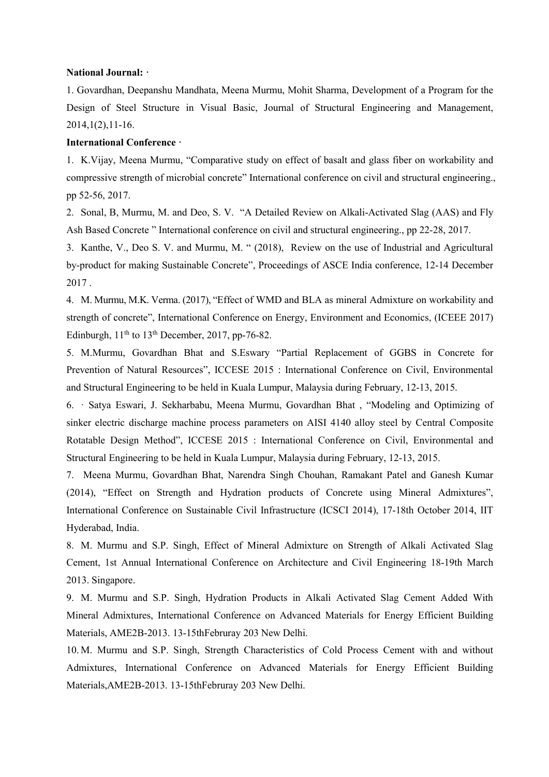#### **National Journal: ·**

1. Govardhan, Deepanshu Mandhata, Meena Murmu, Mohit Sharma, Development of a Program for the Design of Steel Structure in Visual Basic, Journal of Structural Engineering and Management, 2014,1(2),11-16.

#### **International Conference ·**

1. K.Vijay, Meena Murmu, "Comparative study on effect of basalt and glass fiber on workability and compressive strength of microbial concrete" International conference on civil and structural engineering., pp 52-56, 2017.

2. Sonal, B, Murmu, M. and Deo, S. V. "A Detailed Review on Alkali-Activated Slag (AAS) and Fly Ash Based Concrete " International conference on civil and structural engineering., pp 22-28, 2017.

3. Kanthe, V., Deo S. V. and Murmu, M. " (2018), Review on the use of Industrial and Agricultural by-product for making Sustainable Concrete", Proceedings of ASCE India conference, 12-14 December 2017 .

4. M. Murmu, M.K. Verma. (2017), "Effect of WMD and BLA as mineral Admixture on workability and strength of concrete", International Conference on Energy, Environment and Economics, (ICEEE 2017) Edinburgh,  $11<sup>th</sup>$  to  $13<sup>th</sup>$  December, 2017, pp-76-82.

5. M.Murmu, Govardhan Bhat and S.Eswary "Partial Replacement of GGBS in Concrete for Prevention of Natural Resources", ICCESE 2015 : International Conference on Civil, Environmental and Structural Engineering to be held in Kuala Lumpur, Malaysia during February, 12-13, 2015.

6. · Satya Eswari, J. Sekharbabu, Meena Murmu, Govardhan Bhat , "Modeling and Optimizing of sinker electric discharge machine process parameters on AISI 4140 alloy steel by Central Composite Rotatable Design Method", ICCESE 2015 : International Conference on Civil, Environmental and Structural Engineering to be held in Kuala Lumpur, Malaysia during February, 12-13, 2015.

7. Meena Murmu, Govardhan Bhat, Narendra Singh Chouhan, Ramakant Patel and Ganesh Kumar (2014), "Effect on Strength and Hydration products of Concrete using Mineral Admixtures", International Conference on Sustainable Civil Infrastructure (ICSCI 2014), 17-18th October 2014, IIT Hyderabad, India.

8. M. Murmu and S.P. Singh, Effect of Mineral Admixture on Strength of Alkali Activated Slag Cement, 1st Annual International Conference on Architecture and Civil Engineering 18-19th March 2013. Singapore.

9. M. Murmu and S.P. Singh, Hydration Products in Alkali Activated Slag Cement Added With Mineral Admixtures, International Conference on Advanced Materials for Energy Efficient Building Materials, AME2B-2013. 13-15thFebruray 203 New Delhi.

10. M. Murmu and S.P. Singh, Strength Characteristics of Cold Process Cement with and without Admixtures, International Conference on Advanced Materials for Energy Efficient Building Materials,AME2B-2013. 13-15thFebruray 203 New Delhi.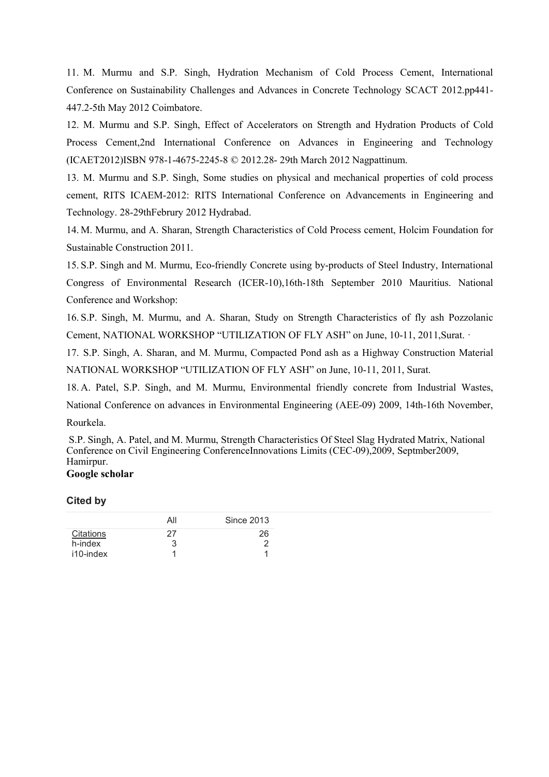11. M. Murmu and S.P. Singh, Hydration Mechanism of Cold Process Cement, International Conference on Sustainability Challenges and Advances in Concrete Technology SCACT 2012.pp441- 447.2-5th May 2012 Coimbatore.

12. M. Murmu and S.P. Singh, Effect of Accelerators on Strength and Hydration Products of Cold Process Cement,2nd International Conference on Advances in Engineering and Technology (ICAET2012)ISBN 978-1-4675-2245-8 © 2012.28- 29th March 2012 Nagpattinum.

13. M. Murmu and S.P. Singh, Some studies on physical and mechanical properties of cold process cement, RITS ICAEM-2012: RITS International Conference on Advancements in Engineering and Technology. 28-29thFebrury 2012 Hydrabad.

14. M. Murmu, and A. Sharan, Strength Characteristics of Cold Process cement, Holcim Foundation for Sustainable Construction 2011.

15. S.P. Singh and M. Murmu, Eco-friendly Concrete using by-products of Steel Industry, International Congress of Environmental Research (ICER-10),16th-18th September 2010 Mauritius. National Conference and Workshop:

16. S.P. Singh, M. Murmu, and A. Sharan, Study on Strength Characteristics of fly ash Pozzolanic Cement, NATIONAL WORKSHOP "UTILIZATION OF FLY ASH" on June, 10-11, 2011,Surat. ·

17. S.P. Singh, A. Sharan, and M. Murmu, Compacted Pond ash as a Highway Construction Material NATIONAL WORKSHOP "UTILIZATION OF FLY ASH" on June, 10-11, 2011, Surat.

18. A. Patel, S.P. Singh, and M. Murmu, Environmental friendly concrete from Industrial Wastes,

National Conference on advances in Environmental Engineering (AEE-09) 2009, 14th-16th November,

Rourkela.

S.P. Singh, A. Patel, and M. Murmu, Strength Characteristics Of Steel Slag Hydrated Matrix, National Conference on Civil Engineering ConferenceInnovations Limits (CEC-09),2009, Septmber2009, Hamirpur. **Google scholar**

#### **Cited by**

|           | All | Since 2013 |
|-----------|-----|------------|
| Citations | 27  | 26         |
| h-index   | З   |            |
| i10-index |     |            |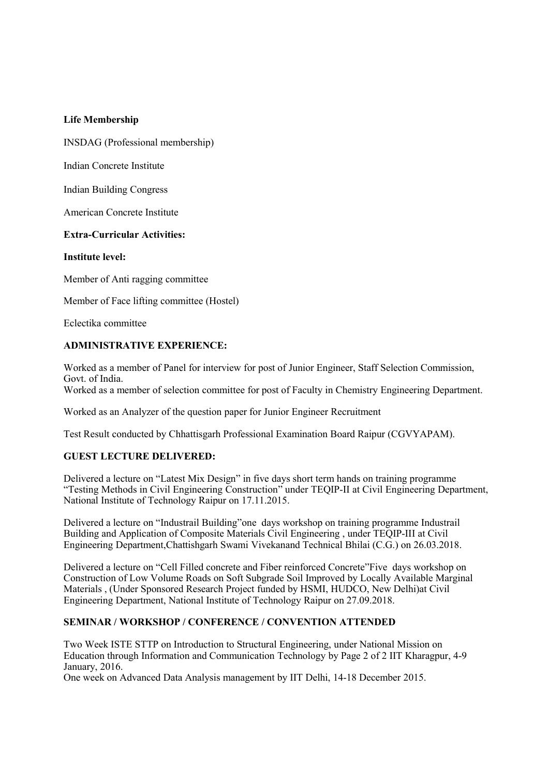#### **Life Membership**

INSDAG (Professional membership)

Indian Concrete Institute

Indian Building Congress

American Concrete Institute

### **Extra-Curricular Activities:**

#### **Institute level:**

Member of Anti ragging committee

Member of Face lifting committee (Hostel)

Eclectika committee

### **ADMINISTRATIVE EXPERIENCE:**

Worked as a member of Panel for interview for post of Junior Engineer, Staff Selection Commission, Govt. of India.

Worked as a member of selection committee for post of Faculty in Chemistry Engineering Department.

Worked as an Analyzer of the question paper for Junior Engineer Recruitment

Test Result conducted by Chhattisgarh Professional Examination Board Raipur (CGVYAPAM).

## **GUEST LECTURE DELIVERED:**

Delivered a lecture on "Latest Mix Design" in five days short term hands on training programme "Testing Methods in Civil Engineering Construction" under TEQIP-II at Civil Engineering Department, National Institute of Technology Raipur on 17.11.2015.

Delivered a lecture on "Industrail Building"one days workshop on training programme Industrail Building and Application of Composite Materials Civil Engineering , under TEQIP-III at Civil Engineering Department,Chattishgarh Swami Vivekanand Technical Bhilai (C.G.) on 26.03.2018.

Delivered a lecture on "Cell Filled concrete and Fiber reinforced Concrete"Five days workshop on Construction of Low Volume Roads on Soft Subgrade Soil Improved by Locally Available Marginal Materials , (Under Sponsored Research Project funded by HSMI, HUDCO, New Delhi)at Civil Engineering Department, National Institute of Technology Raipur on 27.09.2018.

## **SEMINAR / WORKSHOP / CONFERENCE / CONVENTION ATTENDED**

Two Week ISTE STTP on Introduction to Structural Engineering, under National Mission on Education through Information and Communication Technology by Page 2 of 2 IIT Kharagpur, 4-9 January, 2016.

One week on Advanced Data Analysis management by IIT Delhi, 14-18 December 2015.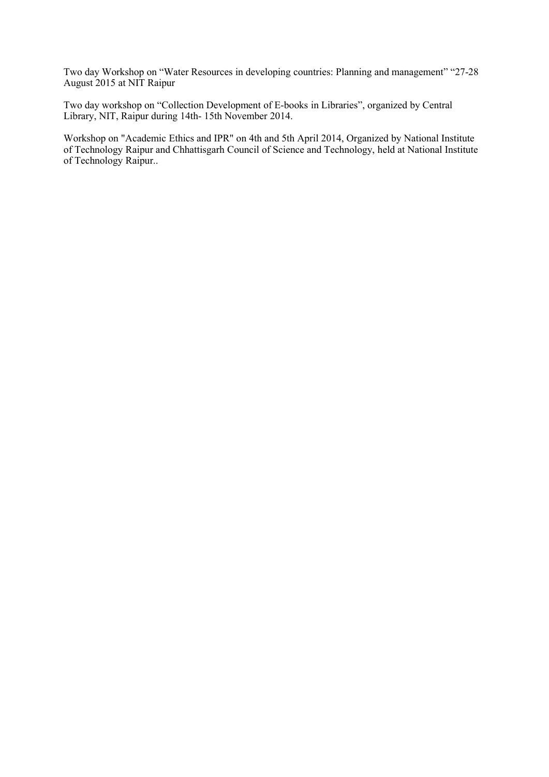Two day Workshop on "Water Resources in developing countries: Planning and management" "27-28 August 2015 at NIT Raipur

Two day workshop on "Collection Development of E-books in Libraries", organized by Central Library, NIT, Raipur during 14th- 15th November 2014.

Workshop on "Academic Ethics and IPR" on 4th and 5th April 2014, Organized by National Institute of Technology Raipur and Chhattisgarh Council of Science and Technology, held at National Institute of Technology Raipur..